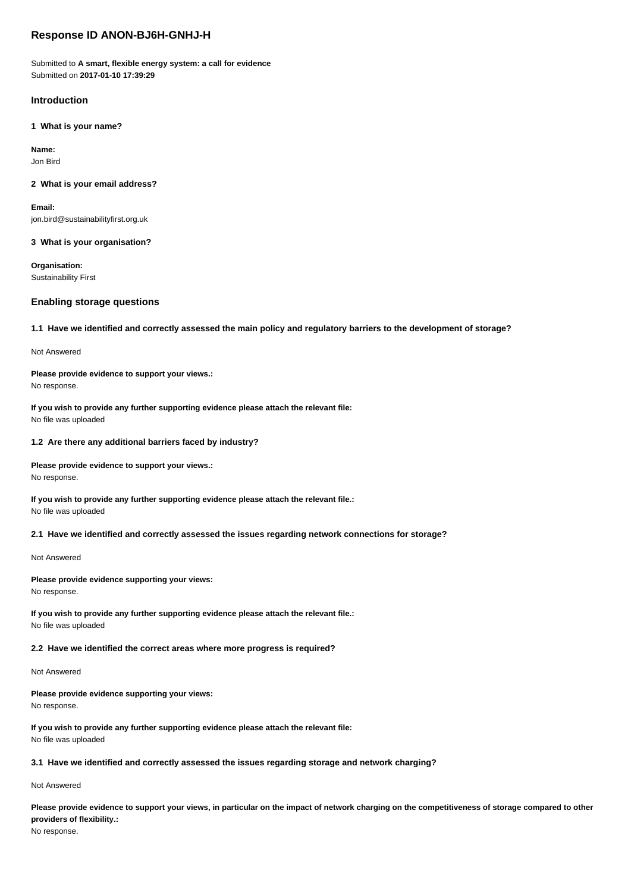# **Response ID ANON-BJ6H-GNHJ-H**

Submitted to **A smart, flexible energy system: a call for evidence** Submitted on **2017-01-10 17:39:29**

# **Introduction**

**1 What is your name?**

**Name:** Jon Bird

### **2 What is your email address?**

**Email:** jon.bird@sustainabilityfirst.org.uk

### **3 What is your organisation?**

**Organisation:** Sustainability First

# **Enabling storage questions**

### **1.1 Have we identified and correctly assessed the main policy and regulatory barriers to the development of storage?**

Not Answered

# **Please provide evidence to support your views.:**

No response.

**If you wish to provide any further supporting evidence please attach the relevant file:** No file was uploaded

### **1.2 Are there any additional barriers faced by industry?**

**Please provide evidence to support your views.:** No response.

**If you wish to provide any further supporting evidence please attach the relevant file.:** No file was uploaded

### **2.1 Have we identified and correctly assessed the issues regarding network connections for storage?**

#### Not Answered

### **Please provide evidence supporting your views:** No response.

**If you wish to provide any further supporting evidence please attach the relevant file.:** No file was uploaded

# **2.2 Have we identified the correct areas where more progress is required?**

### Not Answered

**Please provide evidence supporting your views:** No response.

**If you wish to provide any further supporting evidence please attach the relevant file:** No file was uploaded

# **3.1 Have we identified and correctly assessed the issues regarding storage and network charging?**

# Not Answered

**Please provide evidence to support your views, in particular on the impact of network charging on the competitiveness of storage compared to other providers of flexibility.:**

No response.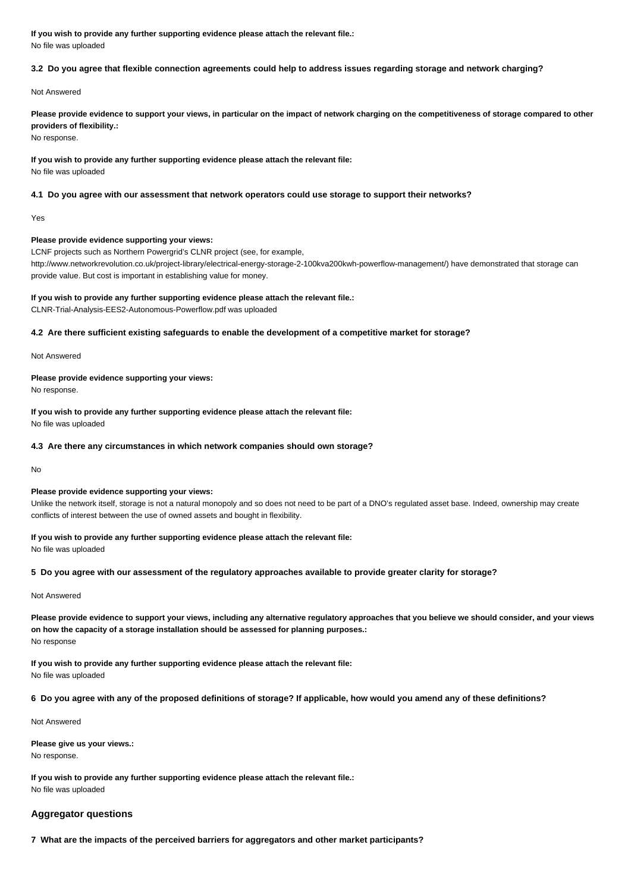**If you wish to provide any further supporting evidence please attach the relevant file.:** No file was uploaded

# **3.2 Do you agree that flexible connection agreements could help to address issues regarding storage and network charging?**

Not Answered

**Please provide evidence to support your views, in particular on the impact of network charging on the competitiveness of storage compared to other providers of flexibility.:**

No response.

**If you wish to provide any further supporting evidence please attach the relevant file:**

No file was uploaded

# **4.1 Do you agree with our assessment that network operators could use storage to support their networks?**

Yes

# **Please provide evidence supporting your views:**

LCNF projects such as Northern Powergrid's CLNR project (see, for example,

http://www.networkrevolution.co.uk/project-library/electrical-energy-storage-2-100kva200kwh-powerflow-management/) have demonstrated that storage can provide value. But cost is important in establishing value for money.

# **If you wish to provide any further supporting evidence please attach the relevant file.:**

CLNR-Trial-Analysis-EES2-Autonomous-Powerflow.pdf was uploaded

# **4.2 Are there sufficient existing safeguards to enable the development of a competitive market for storage?**

Not Answered

# **Please provide evidence supporting your views:**

No response.

**If you wish to provide any further supporting evidence please attach the relevant file:** No file was uploaded

# **4.3 Are there any circumstances in which network companies should own storage?**

No

# **Please provide evidence supporting your views:**

Unlike the network itself, storage is not a natural monopoly and so does not need to be part of a DNO's regulated asset base. Indeed, ownership may create conflicts of interest between the use of owned assets and bought in flexibility.

# **If you wish to provide any further supporting evidence please attach the relevant file:**

No file was uploaded

### **5 Do you agree with our assessment of the regulatory approaches available to provide greater clarity for storage?**

### Not Answered

**Please provide evidence to support your views, including any alternative regulatory approaches that you believe we should consider, and your views on how the capacity of a storage installation should be assessed for planning purposes.:** No response

**If you wish to provide any further supporting evidence please attach the relevant file:** No file was uploaded

**6 Do you agree with any of the proposed definitions of storage? If applicable, how would you amend any of these definitions?**

Not Answered

### **Please give us your views.:**

No response.

**If you wish to provide any further supporting evidence please attach the relevant file.:** No file was uploaded

# **Aggregator questions**

**7 What are the impacts of the perceived barriers for aggregators and other market participants?**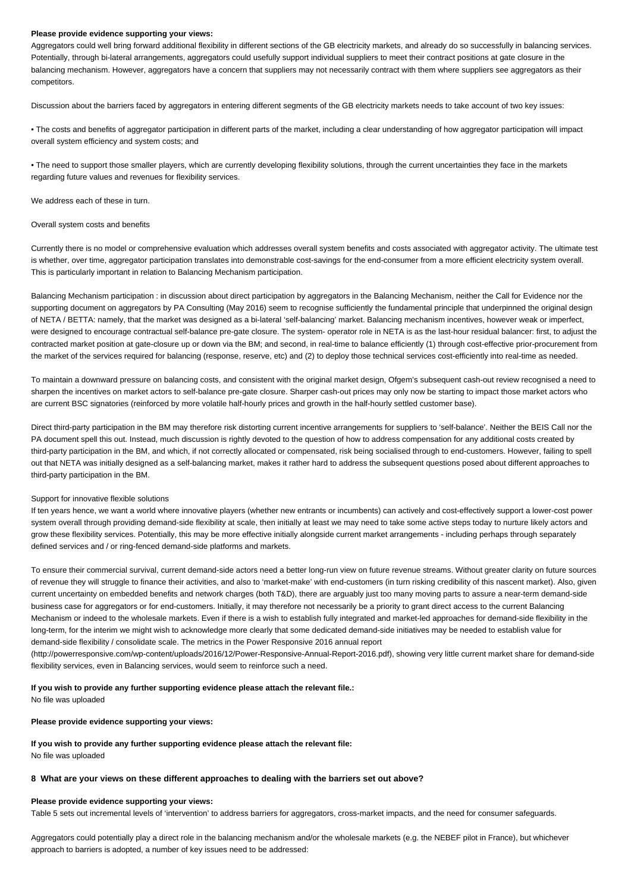Aggregators could well bring forward additional flexibility in different sections of the GB electricity markets, and already do so successfully in balancing services. Potentially, through bi-lateral arrangements, aggregators could usefully support individual suppliers to meet their contract positions at gate closure in the balancing mechanism. However, aggregators have a concern that suppliers may not necessarily contract with them where suppliers see aggregators as their competitors.

Discussion about the barriers faced by aggregators in entering different segments of the GB electricity markets needs to take account of two key issues:

• The costs and benefits of aggregator participation in different parts of the market, including a clear understanding of how aggregator participation will impact overall system efficiency and system costs; and

• The need to support those smaller players, which are currently developing flexibility solutions, through the current uncertainties they face in the markets regarding future values and revenues for flexibility services.

We address each of these in turn.

#### Overall system costs and benefits

Currently there is no model or comprehensive evaluation which addresses overall system benefits and costs associated with aggregator activity. The ultimate test is whether, over time, aggregator participation translates into demonstrable cost-savings for the end-consumer from a more efficient electricity system overall. This is particularly important in relation to Balancing Mechanism participation.

Balancing Mechanism participation : in discussion about direct participation by aggregators in the Balancing Mechanism, neither the Call for Evidence nor the supporting document on aggregators by PA Consulting (May 2016) seem to recognise sufficiently the fundamental principle that underpinned the original design of NETA / BETTA: namely, that the market was designed as a bi-lateral 'self-balancing' market. Balancing mechanism incentives, however weak or imperfect, were designed to encourage contractual self-balance pre-gate closure. The system- operator role in NETA is as the last-hour residual balancer: first, to adjust the contracted market position at gate-closure up or down via the BM; and second, in real-time to balance efficiently (1) through cost-effective prior-procurement from the market of the services required for balancing (response, reserve, etc) and (2) to deploy those technical services cost-efficiently into real-time as needed.

To maintain a downward pressure on balancing costs, and consistent with the original market design, Ofgem's subsequent cash-out review recognised a need to sharpen the incentives on market actors to self-balance pre-gate closure. Sharper cash-out prices may only now be starting to impact those market actors who are current BSC signatories (reinforced by more volatile half-hourly prices and growth in the half-hourly settled customer base).

Direct third-party participation in the BM may therefore risk distorting current incentive arrangements for suppliers to 'self-balance'. Neither the BEIS Call nor the PA document spell this out. Instead, much discussion is rightly devoted to the question of how to address compensation for any additional costs created by third-party participation in the BM, and which, if not correctly allocated or compensated, risk being socialised through to end-customers. However, failing to spell out that NETA was initially designed as a self-balancing market, makes it rather hard to address the subsequent questions posed about different approaches to third-party participation in the BM.

### Support for innovative flexible solutions

If ten years hence, we want a world where innovative players (whether new entrants or incumbents) can actively and cost-effectively support a lower-cost power system overall through providing demand-side flexibility at scale, then initially at least we may need to take some active steps today to nurture likely actors and grow these flexibility services. Potentially, this may be more effective initially alongside current market arrangements - including perhaps through separately defined services and / or ring-fenced demand-side platforms and markets.

To ensure their commercial survival, current demand-side actors need a better long-run view on future revenue streams. Without greater clarity on future sources of revenue they will struggle to finance their activities, and also to 'market-make' with end-customers (in turn risking credibility of this nascent market). Also, given current uncertainty on embedded benefits and network charges (both T&D), there are arguably just too many moving parts to assure a near-term demand-side business case for aggregators or for end-customers. Initially, it may therefore not necessarily be a priority to grant direct access to the current Balancing Mechanism or indeed to the wholesale markets. Even if there is a wish to establish fully integrated and market-led approaches for demand-side flexibility in the long-term, for the interim we might wish to acknowledge more clearly that some dedicated demand-side initiatives may be needed to establish value for demand-side flexibility / consolidate scale. The metrics in the Power Responsive 2016 annual report

(http://powerresponsive.com/wp-content/uploads/2016/12/Power-Responsive-Annual-Report-2016.pdf), showing very little current market share for demand-side flexibility services, even in Balancing services, would seem to reinforce such a need.

### **If you wish to provide any further supporting evidence please attach the relevant file.:**

No file was uploaded

#### **Please provide evidence supporting your views:**

### **If you wish to provide any further supporting evidence please attach the relevant file:**

No file was uploaded

### **8 What are your views on these different approaches to dealing with the barriers set out above?**

#### **Please provide evidence supporting your views:**

Table 5 sets out incremental levels of 'intervention' to address barriers for aggregators, cross-market impacts, and the need for consumer safeguards.

Aggregators could potentially play a direct role in the balancing mechanism and/or the wholesale markets (e.g. the NEBEF pilot in France), but whichever approach to barriers is adopted, a number of key issues need to be addressed: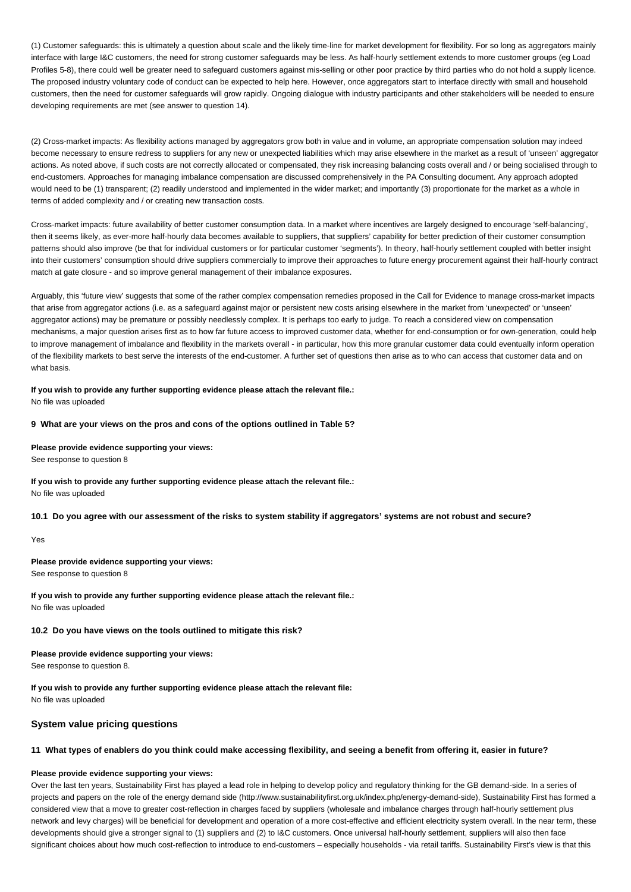(1) Customer safeguards: this is ultimately a question about scale and the likely time-line for market development for flexibility. For so long as aggregators mainly interface with large I&C customers, the need for strong customer safeguards may be less. As half-hourly settlement extends to more customer groups (eg Load Profiles 5-8), there could well be greater need to safeguard customers against mis-selling or other poor practice by third parties who do not hold a supply licence. The proposed industry voluntary code of conduct can be expected to help here. However, once aggregators start to interface directly with small and household customers, then the need for customer safeguards will grow rapidly. Ongoing dialogue with industry participants and other stakeholders will be needed to ensure developing requirements are met (see answer to question 14).

(2) Cross-market impacts: As flexibility actions managed by aggregators grow both in value and in volume, an appropriate compensation solution may indeed become necessary to ensure redress to suppliers for any new or unexpected liabilities which may arise elsewhere in the market as a result of 'unseen' aggregator actions. As noted above, if such costs are not correctly allocated or compensated, they risk increasing balancing costs overall and / or being socialised through to end-customers. Approaches for managing imbalance compensation are discussed comprehensively in the PA Consulting document. Any approach adopted would need to be (1) transparent; (2) readily understood and implemented in the wider market; and importantly (3) proportionate for the market as a whole in terms of added complexity and / or creating new transaction costs.

Cross-market impacts: future availability of better customer consumption data. In a market where incentives are largely designed to encourage 'self-balancing', then it seems likely, as ever-more half-hourly data becomes available to suppliers, that suppliers' capability for better prediction of their customer consumption patterns should also improve (be that for individual customers or for particular customer 'segments'). In theory, half-hourly settlement coupled with better insight into their customers' consumption should drive suppliers commercially to improve their approaches to future energy procurement against their half-hourly contract match at gate closure - and so improve general management of their imbalance exposures.

Arguably, this 'future view' suggests that some of the rather complex compensation remedies proposed in the Call for Evidence to manage cross-market impacts that arise from aggregator actions (i.e. as a safeguard against major or persistent new costs arising elsewhere in the market from 'unexpected' or 'unseen' aggregator actions) may be premature or possibly needlessly complex. It is perhaps too early to judge. To reach a considered view on compensation mechanisms, a major question arises first as to how far future access to improved customer data, whether for end-consumption or for own-generation, could help to improve management of imbalance and flexibility in the markets overall - in particular, how this more granular customer data could eventually inform operation of the flexibility markets to best serve the interests of the end-customer. A further set of questions then arise as to who can access that customer data and on what basis.

**If you wish to provide any further supporting evidence please attach the relevant file.:** No file was uploaded

**9 What are your views on the pros and cons of the options outlined in Table 5?**

**Please provide evidence supporting your views:**

See response to question 8

**If you wish to provide any further supporting evidence please attach the relevant file.:** No file was uploaded

**10.1 Do you agree with our assessment of the risks to system stability if aggregators' systems are not robust and secure?**

# Yes

**Please provide evidence supporting your views:**

See response to question 8

**If you wish to provide any further supporting evidence please attach the relevant file.:** No file was uploaded

**10.2 Do you have views on the tools outlined to mitigate this risk?**

**Please provide evidence supporting your views:** See response to question 8.

**If you wish to provide any further supporting evidence please attach the relevant file:** No file was uploaded

# **System value pricing questions**

### **11 What types of enablers do you think could make accessing flexibility, and seeing a benefit from offering it, easier in future?**

### **Please provide evidence supporting your views:**

Over the last ten years, Sustainability First has played a lead role in helping to develop policy and regulatory thinking for the GB demand-side. In a series of projects and papers on the role of the energy demand side (http://www.sustainabilityfirst.org.uk/index.php/energy-demand-side), Sustainability First has formed a considered view that a move to greater cost-reflection in charges faced by suppliers (wholesale and imbalance charges through half-hourly settlement plus network and levy charges) will be beneficial for development and operation of a more cost-effective and efficient electricity system overall. In the near term, these developments should give a stronger signal to (1) suppliers and (2) to I&C customers. Once universal half-hourly settlement, suppliers will also then face significant choices about how much cost-reflection to introduce to end-customers - especially households - via retail tariffs. Sustainability First's view is that this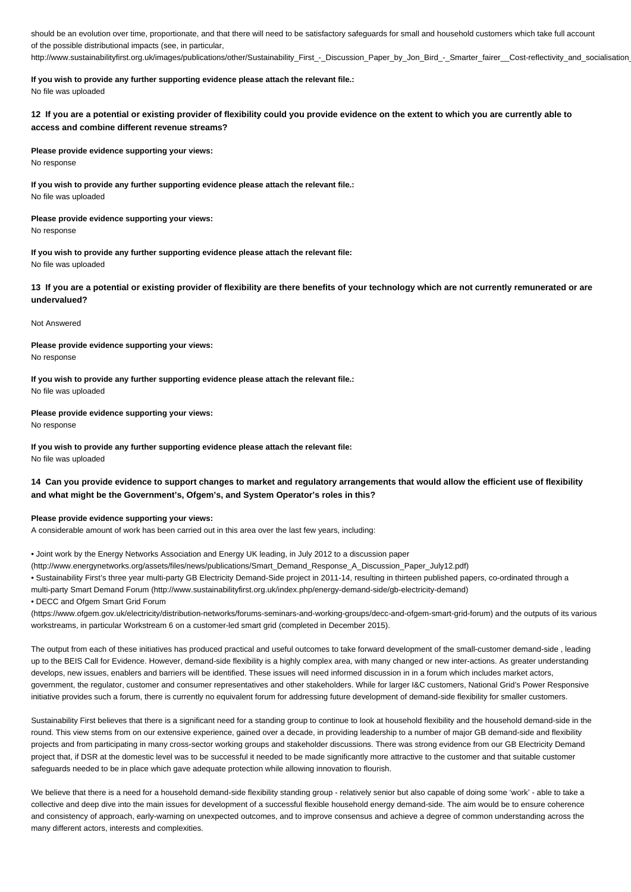should be an evolution over time, proportionate, and that there will need to be satisfactory safeguards for small and household customers which take full account of the possible distributional impacts (see, in particular, http://www.sustainabilityfirst.org.uk/images/publications/other/Sustainability\_First -\_Discussion\_Paper\_by\_Jon\_Bird\_-\_Smarter\_fairer\_\_Cost-reflectivity\_and\_socialisation

**If you wish to provide any further supporting evidence please attach the relevant file.:** No file was uploaded

**12 If you are a potential or existing provider of flexibility could you provide evidence on the extent to which you are currently able to access and combine different revenue streams?**

### **Please provide evidence supporting your views:**

No response

**If you wish to provide any further supporting evidence please attach the relevant file.:** No file was uploaded

# **Please provide evidence supporting your views:**

No response

**If you wish to provide any further supporting evidence please attach the relevant file:** No file was uploaded

**13 If you are a potential or existing provider of flexibility are there benefits of your technology which are not currently remunerated or are undervalued?**

### Not Answered

**Please provide evidence supporting your views:** No response

**If you wish to provide any further supporting evidence please attach the relevant file.:** No file was uploaded

### **Please provide evidence supporting your views:**

No response

**If you wish to provide any further supporting evidence please attach the relevant file:** No file was uploaded

# **14 Can you provide evidence to support changes to market and regulatory arrangements that would allow the efficient use of flexibility and what might be the Government's, Ofgem's, and System Operator's roles in this?**

### **Please provide evidence supporting your views:**

A considerable amount of work has been carried out in this area over the last few years, including:

• Joint work by the Energy Networks Association and Energy UK leading, in July 2012 to a discussion paper

(http://www.energynetworks.org/assets/files/news/publications/Smart\_Demand\_Response\_A\_Discussion\_Paper\_July12.pdf)

• Sustainability First's three year multi-party GB Electricity Demand-Side project in 2011-14, resulting in thirteen published papers, co-ordinated through a

multi-party Smart Demand Forum (http://www.sustainabilityfirst.org.uk/index.php/energy-demand-side/gb-electricity-demand)

• DECC and Ofgem Smart Grid Forum

(https://www.ofgem.gov.uk/electricity/distribution-networks/forums-seminars-and-working-groups/decc-and-ofgem-smart-grid-forum) and the outputs of its various workstreams, in particular Workstream 6 on a customer-led smart grid (completed in December 2015).

The output from each of these initiatives has produced practical and useful outcomes to take forward development of the small-customer demand-side , leading up to the BEIS Call for Evidence. However, demand-side flexibility is a highly complex area, with many changed or new inter-actions. As greater understanding develops, new issues, enablers and barriers will be identified. These issues will need informed discussion in in a forum which includes market actors, government, the regulator, customer and consumer representatives and other stakeholders. While for larger I&C customers, National Grid's Power Responsive initiative provides such a forum, there is currently no equivalent forum for addressing future development of demand-side flexibility for smaller customers.

Sustainability First believes that there is a significant need for a standing group to continue to look at household flexibility and the household demand-side in the round. This view stems from on our extensive experience, gained over a decade, in providing leadership to a number of major GB demand-side and flexibility projects and from participating in many cross-sector working groups and stakeholder discussions. There was strong evidence from our GB Electricity Demand project that, if DSR at the domestic level was to be successful it needed to be made significantly more attractive to the customer and that suitable customer safeguards needed to be in place which gave adequate protection while allowing innovation to flourish.

We believe that there is a need for a household demand-side flexibility standing group - relatively senior but also capable of doing some 'work' - able to take a collective and deep dive into the main issues for development of a successful flexible household energy demand-side. The aim would be to ensure coherence and consistency of approach, early-warning on unexpected outcomes, and to improve consensus and achieve a degree of common understanding across the many different actors, interests and complexities.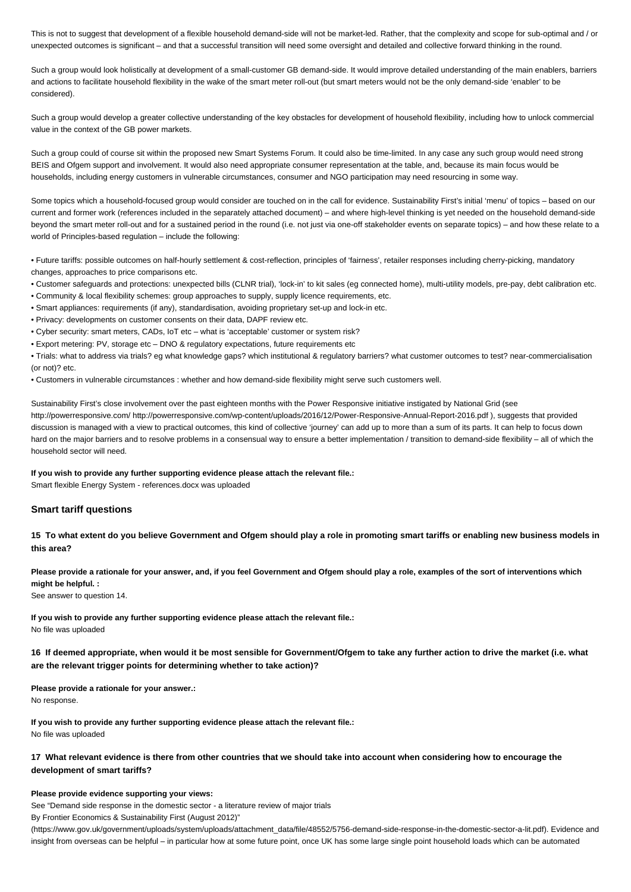This is not to suggest that development of a flexible household demand-side will not be market-led. Rather, that the complexity and scope for sub-optimal and / or unexpected outcomes is significant – and that a successful transition will need some oversight and detailed and collective forward thinking in the round.

Such a group would look holistically at development of a small-customer GB demand-side. It would improve detailed understanding of the main enablers, barriers and actions to facilitate household flexibility in the wake of the smart meter roll-out (but smart meters would not be the only demand-side 'enabler' to be considered).

Such a group would develop a greater collective understanding of the key obstacles for development of household flexibility, including how to unlock commercial value in the context of the GB power markets.

Such a group could of course sit within the proposed new Smart Systems Forum. It could also be time-limited. In any case any such group would need strong BEIS and Ofgem support and involvement. It would also need appropriate consumer representation at the table, and, because its main focus would be households, including energy customers in vulnerable circumstances, consumer and NGO participation may need resourcing in some way.

Some topics which a household-focused group would consider are touched on in the call for evidence. Sustainability First's initial 'menu' of topics – based on our current and former work (references included in the separately attached document) – and where high-level thinking is yet needed on the household demand-side beyond the smart meter roll-out and for a sustained period in the round (i.e. not just via one-off stakeholder events on separate topics) – and how these relate to a world of Principles-based regulation – include the following:

• Future tariffs: possible outcomes on half-hourly settlement & cost-reflection, principles of 'fairness', retailer responses including cherry-picking, mandatory changes, approaches to price comparisons etc.

- Customer safeguards and protections: unexpected bills (CLNR trial), 'lock-in' to kit sales (eg connected home), multi-utility models, pre-pay, debt calibration etc.
- Community & local flexibility schemes: group approaches to supply, supply licence requirements, etc.
- Smart appliances: requirements (if any), standardisation, avoiding proprietary set-up and lock-in etc.
- Privacy: developments on customer consents on their data, DAPF review etc.
- Cyber security: smart meters, CADs, IoT etc what is 'acceptable' customer or system risk?
- Export metering: PV, storage etc DNO & regulatory expectations, future requirements etc

• Trials: what to address via trials? eg what knowledge gaps? which institutional & regulatory barriers? what customer outcomes to test? near-commercialisation (or not)? etc.

• Customers in vulnerable circumstances : whether and how demand-side flexibility might serve such customers well.

Sustainability First's close involvement over the past eighteen months with the Power Responsive initiative instigated by National Grid (see http://powerresponsive.com/ http://powerresponsive.com/wp-content/uploads/2016/12/Power-Responsive-Annual-Report-2016.pdf ), suggests that provided discussion is managed with a view to practical outcomes, this kind of collective 'journey' can add up to more than a sum of its parts. It can help to focus down hard on the major barriers and to resolve problems in a consensual way to ensure a better implementation / transition to demand-side flexibility – all of which the household sector will need.

**If you wish to provide any further supporting evidence please attach the relevant file.:**

Smart flexible Energy System - references.docx was uploaded

# **Smart tariff questions**

**15 To what extent do you believe Government and Ofgem should play a role in promoting smart tariffs or enabling new business models in this area?**

**Please provide a rationale for your answer, and, if you feel Government and Ofgem should play a role, examples of the sort of interventions which might be helpful. :**

See answer to question 14.

**If you wish to provide any further supporting evidence please attach the relevant file.:** No file was uploaded

**16 If deemed appropriate, when would it be most sensible for Government/Ofgem to take any further action to drive the market (i.e. what are the relevant trigger points for determining whether to take action)?**

**Please provide a rationale for your answer.:** No response.

**If you wish to provide any further supporting evidence please attach the relevant file.:** No file was uploaded

# **17 What relevant evidence is there from other countries that we should take into account when considering how to encourage the development of smart tariffs?**

### **Please provide evidence supporting your views:**

See "Demand side response in the domestic sector - a literature review of major trials

By Frontier Economics & Sustainability First (August 2012)"

(https://www.gov.uk/government/uploads/system/uploads/attachment\_data/file/48552/5756-demand-side-response-in-the-domestic-sector-a-lit.pdf). Evidence and insight from overseas can be helpful – in particular how at some future point, once UK has some large single point household loads which can be automated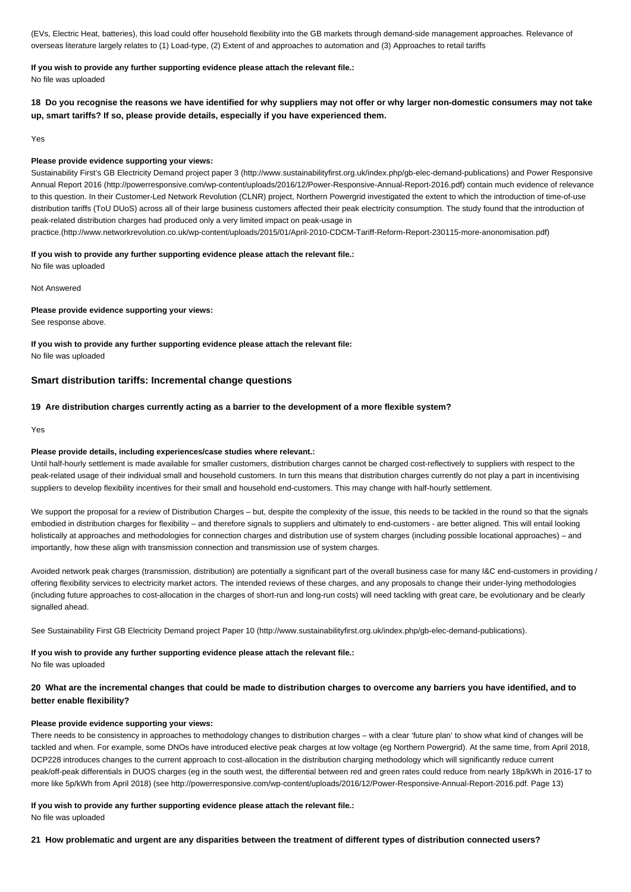(EVs, Electric Heat, batteries), this load could offer household flexibility into the GB markets through demand-side management approaches. Relevance of overseas literature largely relates to (1) Load-type, (2) Extent of and approaches to automation and (3) Approaches to retail tariffs

# **If you wish to provide any further supporting evidence please attach the relevant file.:**

No file was uploaded

**18 Do you recognise the reasons we have identified for why suppliers may not offer or why larger non-domestic consumers may not take up, smart tariffs? If so, please provide details, especially if you have experienced them.**

Yes

### **Please provide evidence supporting your views:**

Sustainability First's GB Electricity Demand project paper 3 (http://www.sustainabilityfirst.org.uk/index.php/gb-elec-demand-publications) and Power Responsive Annual Report 2016 (http://powerresponsive.com/wp-content/uploads/2016/12/Power-Responsive-Annual-Report-2016.pdf) contain much evidence of relevance to this question. In their Customer-Led Network Revolution (CLNR) project, Northern Powergrid investigated the extent to which the introduction of time-of-use distribution tariffs (ToU DUoS) across all of their large business customers affected their peak electricity consumption. The study found that the introduction of peak-related distribution charges had produced only a very limited impact on peak-usage in

practice.(http://www.networkrevolution.co.uk/wp-content/uploads/2015/01/April-2010-CDCM-Tariff-Reform-Report-230115-more-anonomisation.pdf)

### **If you wish to provide any further supporting evidence please attach the relevant file.:**

No file was uploaded

Not Answered

### **Please provide evidence supporting your views:**

See response above.

**If you wish to provide any further supporting evidence please attach the relevant file:** No file was uploaded

### **Smart distribution tariffs: Incremental change questions**

### **19 Are distribution charges currently acting as a barrier to the development of a more flexible system?**

Yes

### **Please provide details, including experiences/case studies where relevant.:**

Until half-hourly settlement is made available for smaller customers, distribution charges cannot be charged cost-reflectively to suppliers with respect to the peak-related usage of their individual small and household customers. In turn this means that distribution charges currently do not play a part in incentivising suppliers to develop flexibility incentives for their small and household end-customers. This may change with half-hourly settlement.

We support the proposal for a review of Distribution Charges – but, despite the complexity of the issue, this needs to be tackled in the round so that the signals embodied in distribution charges for flexibility – and therefore signals to suppliers and ultimately to end-customers - are better aligned. This will entail looking holistically at approaches and methodologies for connection charges and distribution use of system charges (including possible locational approaches) - and importantly, how these align with transmission connection and transmission use of system charges.

Avoided network peak charges (transmission, distribution) are potentially a significant part of the overall business case for many I&C end-customers in providing / offering flexibility services to electricity market actors. The intended reviews of these charges, and any proposals to change their under-lying methodologies (including future approaches to cost-allocation in the charges of short-run and long-run costs) will need tackling with great care, be evolutionary and be clearly signalled ahead.

See Sustainability First GB Electricity Demand project Paper 10 (http://www.sustainabilityfirst.org.uk/index.php/gb-elec-demand-publications).

# **If you wish to provide any further supporting evidence please attach the relevant file.:**

No file was uploaded

**20 What are the incremental changes that could be made to distribution charges to overcome any barriers you have identified, and to better enable flexibility?**

#### **Please provide evidence supporting your views:**

There needs to be consistency in approaches to methodology changes to distribution charges – with a clear 'future plan' to show what kind of changes will be tackled and when. For example, some DNOs have introduced elective peak charges at low voltage (eg Northern Powergrid). At the same time, from April 2018, DCP228 introduces changes to the current approach to cost-allocation in the distribution charging methodology which will significantly reduce current peak/off-peak differentials in DUOS charges (eg in the south west, the differential between red and green rates could reduce from nearly 18p/kWh in 2016-17 to more like 5p/kWh from April 2018) (see http://powerresponsive.com/wp-content/uploads/2016/12/Power-Responsive-Annual-Report-2016.pdf. Page 13)

# **If you wish to provide any further supporting evidence please attach the relevant file.:**

No file was uploaded

**21 How problematic and urgent are any disparities between the treatment of different types of distribution connected users?**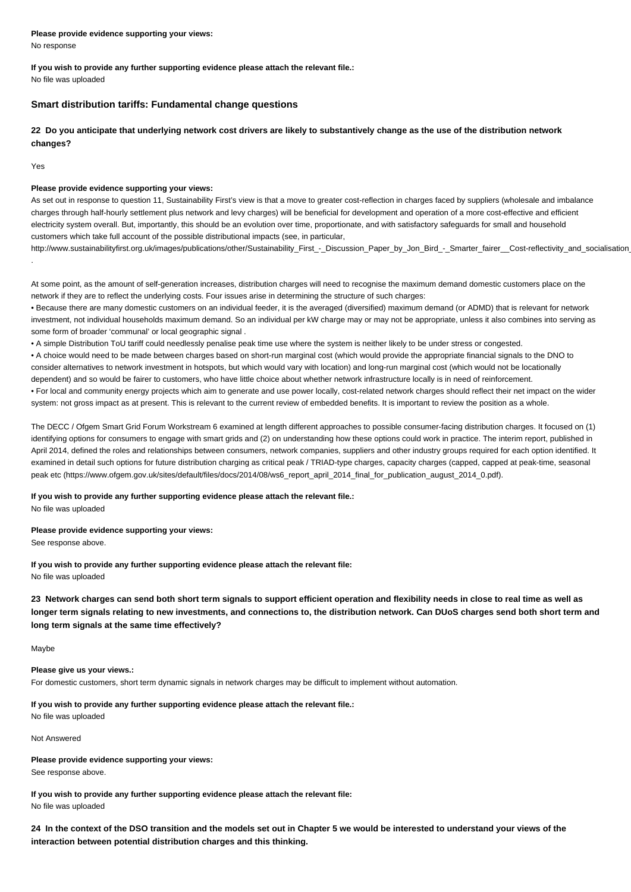**Please provide evidence supporting your views:** No response

**If you wish to provide any further supporting evidence please attach the relevant file.:**

No file was uploaded

# **Smart distribution tariffs: Fundamental change questions**

**22 Do you anticipate that underlying network cost drivers are likely to substantively change as the use of the distribution network changes?**

Yes

.

### **Please provide evidence supporting your views:**

As set out in response to question 11, Sustainability First's view is that a move to greater cost-reflection in charges faced by suppliers (wholesale and imbalance charges through half-hourly settlement plus network and levy charges) will be beneficial for development and operation of a more cost-effective and efficient electricity system overall. But, importantly, this should be an evolution over time, proportionate, and with satisfactory safeguards for small and household customers which take full account of the possible distributional impacts (see, in particular,

http://www.sustainabilityfirst.org.uk/images/publications/other/Sustainability\_First\_-\_Discussion\_Paper\_by\_Jon\_Bird\_-\_Smarter\_fairer\_\_Cost-reflectivity\_and\_socialisation

At some point, as the amount of self-generation increases, distribution charges will need to recognise the maximum demand domestic customers place on the network if they are to reflect the underlying costs. Four issues arise in determining the structure of such charges:

• Because there are many domestic customers on an individual feeder, it is the averaged (diversified) maximum demand (or ADMD) that is relevant for network investment, not individual households maximum demand. So an individual per kW charge may or may not be appropriate, unless it also combines into serving as some form of broader 'communal' or local geographic signal .

• A simple Distribution ToU tariff could needlessly penalise peak time use where the system is neither likely to be under stress or congested.

• A choice would need to be made between charges based on short-run marginal cost (which would provide the appropriate financial signals to the DNO to consider alternatives to network investment in hotspots, but which would vary with location) and long-run marginal cost (which would not be locationally dependent) and so would be fairer to customers, who have little choice about whether network infrastructure locally is in need of reinforcement.

• For local and community energy projects which aim to generate and use power locally, cost-related network charges should reflect their net impact on the wider system: not gross impact as at present. This is relevant to the current review of embedded benefits. It is important to review the position as a whole.

The DECC / Ofgem Smart Grid Forum Workstream 6 examined at length different approaches to possible consumer-facing distribution charges. It focused on (1) identifying options for consumers to engage with smart grids and (2) on understanding how these options could work in practice. The interim report, published in April 2014, defined the roles and relationships between consumers, network companies, suppliers and other industry groups required for each option identified. It examined in detail such options for future distribution charging as critical peak / TRIAD-type charges, capacity charges (capped, capped at peak-time, seasonal peak etc (https://www.ofgem.gov.uk/sites/default/files/docs/2014/08/ws6\_report\_april\_2014\_final\_for\_publication\_august\_2014\_0.pdf).

### **If you wish to provide any further supporting evidence please attach the relevant file.:**

No file was uploaded

### **Please provide evidence supporting your views:**

See response above.

**If you wish to provide any further supporting evidence please attach the relevant file:** No file was uploaded

**23 Network charges can send both short term signals to support efficient operation and flexibility needs in close to real time as well as longer term signals relating to new investments, and connections to, the distribution network. Can DUoS charges send both short term and long term signals at the same time effectively?**

Maybe

# **Please give us your views.:**

For domestic customers, short term dynamic signals in network charges may be difficult to implement without automation.

# **If you wish to provide any further supporting evidence please attach the relevant file.:**

No file was uploaded

Not Answered

**Please provide evidence supporting your views:** See response above.

**If you wish to provide any further supporting evidence please attach the relevant file:** No file was uploaded

**24 In the context of the DSO transition and the models set out in Chapter 5 we would be interested to understand your views of the interaction between potential distribution charges and this thinking.**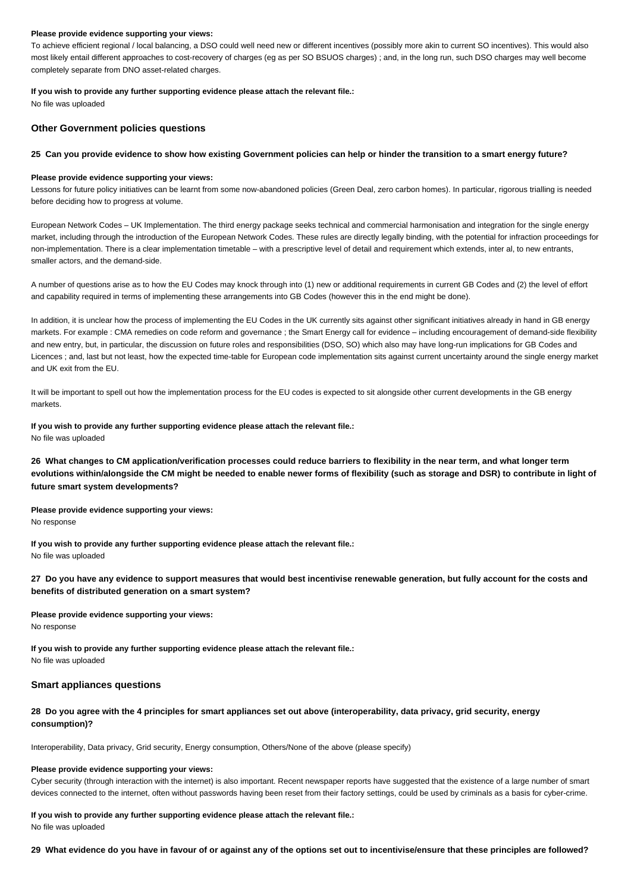To achieve efficient regional / local balancing, a DSO could well need new or different incentives (possibly more akin to current SO incentives). This would also most likely entail different approaches to cost-recovery of charges (eg as per SO BSUOS charges) ; and, in the long run, such DSO charges may well become completely separate from DNO asset-related charges.

### **If you wish to provide any further supporting evidence please attach the relevant file.:**

No file was uploaded

### **Other Government policies questions**

### **25 Can you provide evidence to show how existing Government policies can help or hinder the transition to a smart energy future?**

### **Please provide evidence supporting your views:**

Lessons for future policy initiatives can be learnt from some now-abandoned policies (Green Deal, zero carbon homes). In particular, rigorous trialling is needed before deciding how to progress at volume.

European Network Codes – UK Implementation. The third energy package seeks technical and commercial harmonisation and integration for the single energy market, including through the introduction of the European Network Codes. These rules are directly legally binding, with the potential for infraction proceedings for non-implementation. There is a clear implementation timetable – with a prescriptive level of detail and requirement which extends, inter al, to new entrants, smaller actors, and the demand-side.

A number of questions arise as to how the EU Codes may knock through into (1) new or additional requirements in current GB Codes and (2) the level of effort and capability required in terms of implementing these arrangements into GB Codes (however this in the end might be done).

In addition, it is unclear how the process of implementing the EU Codes in the UK currently sits against other significant initiatives already in hand in GB energy markets. For example : CMA remedies on code reform and governance ; the Smart Energy call for evidence – including encouragement of demand-side flexibility and new entry, but, in particular, the discussion on future roles and responsibilities (DSO, SO) which also may have long-run implications for GB Codes and Licences ; and, last but not least, how the expected time-table for European code implementation sits against current uncertainty around the single energy market and UK exit from the EU.

It will be important to spell out how the implementation process for the EU codes is expected to sit alongside other current developments in the GB energy markets.

**If you wish to provide any further supporting evidence please attach the relevant file.:** No file was uploaded

**26 What changes to CM application/verification processes could reduce barriers to flexibility in the near term, and what longer term evolutions within/alongside the CM might be needed to enable newer forms of flexibility (such as storage and DSR) to contribute in light of future smart system developments?**

**Please provide evidence supporting your views:** No response

**If you wish to provide any further supporting evidence please attach the relevant file.:** No file was uploaded

**27 Do you have any evidence to support measures that would best incentivise renewable generation, but fully account for the costs and benefits of distributed generation on a smart system?**

**Please provide evidence supporting your views:** No response

**If you wish to provide any further supporting evidence please attach the relevant file.:** No file was uploaded

### **Smart appliances questions**

**28 Do you agree with the 4 principles for smart appliances set out above (interoperability, data privacy, grid security, energy consumption)?**

Interoperability, Data privacy, Grid security, Energy consumption, Others/None of the above (please specify)

### **Please provide evidence supporting your views:**

Cyber security (through interaction with the internet) is also important. Recent newspaper reports have suggested that the existence of a large number of smart devices connected to the internet, often without passwords having been reset from their factory settings, could be used by criminals as a basis for cyber-crime.

# **If you wish to provide any further supporting evidence please attach the relevant file.:**

No file was uploaded

**29 What evidence do you have in favour of or against any of the options set out to incentivise/ensure that these principles are followed?**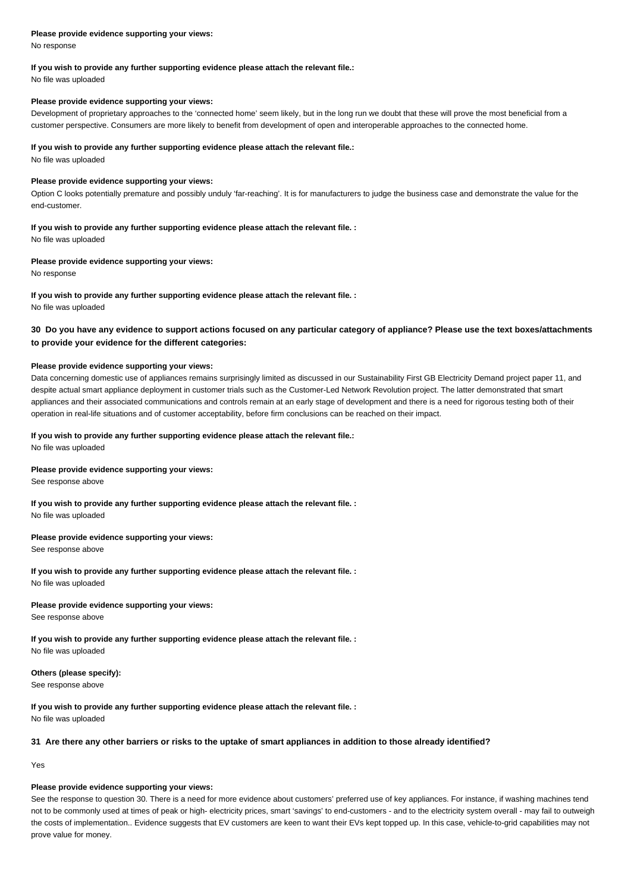No response

# **If you wish to provide any further supporting evidence please attach the relevant file.:**

No file was uploaded

### **Please provide evidence supporting your views:**

Development of proprietary approaches to the 'connected home' seem likely, but in the long run we doubt that these will prove the most beneficial from a customer perspective. Consumers are more likely to benefit from development of open and interoperable approaches to the connected home.

### **If you wish to provide any further supporting evidence please attach the relevant file.:**

No file was uploaded

### **Please provide evidence supporting your views:**

Option C looks potentially premature and possibly unduly 'far-reaching'. It is for manufacturers to judge the business case and demonstrate the value for the end-customer.

# **If you wish to provide any further supporting evidence please attach the relevant file. :**

No file was uploaded

### **Please provide evidence supporting your views:**

No response

# **If you wish to provide any further supporting evidence please attach the relevant file. :**

No file was uploaded

# **30 Do you have any evidence to support actions focused on any particular category of appliance? Please use the text boxes/attachments to provide your evidence for the different categories:**

### **Please provide evidence supporting your views:**

Data concerning domestic use of appliances remains surprisingly limited as discussed in our Sustainability First GB Electricity Demand project paper 11, and despite actual smart appliance deployment in customer trials such as the Customer-Led Network Revolution project. The latter demonstrated that smart appliances and their associated communications and controls remain at an early stage of development and there is a need for rigorous testing both of their operation in real-life situations and of customer acceptability, before firm conclusions can be reached on their impact.

### **If you wish to provide any further supporting evidence please attach the relevant file.:**

No file was uploaded

### **Please provide evidence supporting your views:**

See response above

### **If you wish to provide any further supporting evidence please attach the relevant file. :** No file was uploaded

#### **Please provide evidence supporting your views:**

See response above

### **If you wish to provide any further supporting evidence please attach the relevant file. :** No file was uploaded

#### **Please provide evidence supporting your views:**

See response above

**If you wish to provide any further supporting evidence please attach the relevant file. :** No file was uploaded

### **Others (please specify):**

See response above

### **If you wish to provide any further supporting evidence please attach the relevant file. :** No file was uploaded

# **31 Are there any other barriers or risks to the uptake of smart appliances in addition to those already identified?**

Yes

# **Please provide evidence supporting your views:**

See the response to question 30. There is a need for more evidence about customers' preferred use of key appliances. For instance, if washing machines tend not to be commonly used at times of peak or high- electricity prices, smart 'savings' to end-customers - and to the electricity system overall - may fail to outweigh the costs of implementation.. Evidence suggests that EV customers are keen to want their EVs kept topped up. In this case, vehicle-to-grid capabilities may not prove value for money.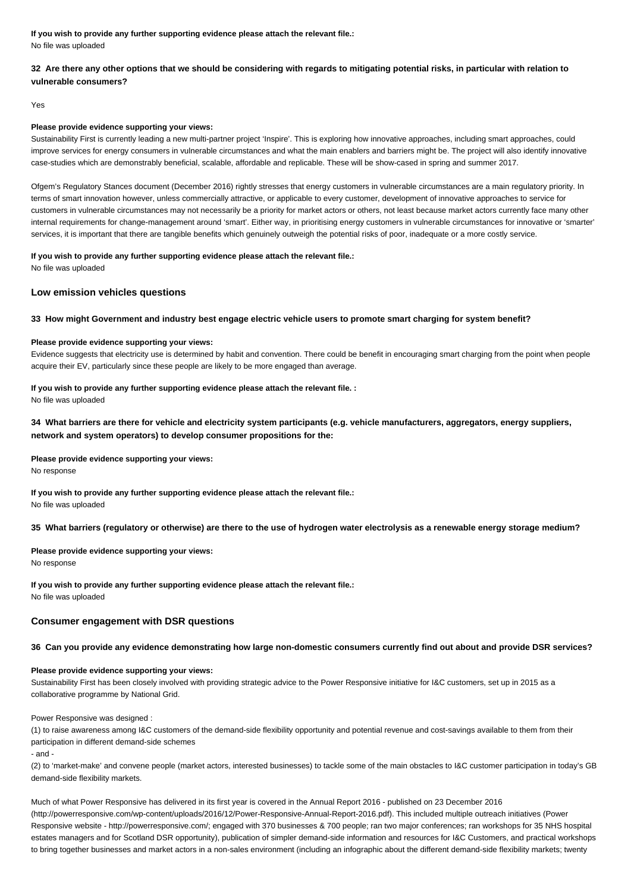**If you wish to provide any further supporting evidence please attach the relevant file.:** No file was uploaded

# **32 Are there any other options that we should be considering with regards to mitigating potential risks, in particular with relation to vulnerable consumers?**

Yes

### **Please provide evidence supporting your views:**

Sustainability First is currently leading a new multi-partner project 'Inspire'. This is exploring how innovative approaches, including smart approaches, could improve services for energy consumers in vulnerable circumstances and what the main enablers and barriers might be. The project will also identify innovative case-studies which are demonstrably beneficial, scalable, affordable and replicable. These will be show-cased in spring and summer 2017.

Ofgem's Regulatory Stances document (December 2016) rightly stresses that energy customers in vulnerable circumstances are a main regulatory priority. In terms of smart innovation however, unless commercially attractive, or applicable to every customer, development of innovative approaches to service for customers in vulnerable circumstances may not necessarily be a priority for market actors or others, not least because market actors currently face many other internal requirements for change-management around 'smart'. Either way, in prioritising energy customers in vulnerable circumstances for innovative or 'smarter' services, it is important that there are tangible benefits which genuinely outweigh the potential risks of poor, inadequate or a more costly service.

# **If you wish to provide any further supporting evidence please attach the relevant file.:**

No file was uploaded

# **Low emission vehicles questions**

# **33 How might Government and industry best engage electric vehicle users to promote smart charging for system benefit?**

### **Please provide evidence supporting your views:**

Evidence suggests that electricity use is determined by habit and convention. There could be benefit in encouraging smart charging from the point when people acquire their EV, particularly since these people are likely to be more engaged than average.

# **If you wish to provide any further supporting evidence please attach the relevant file. :**

No file was uploaded

# **34 What barriers are there for vehicle and electricity system participants (e.g. vehicle manufacturers, aggregators, energy suppliers, network and system operators) to develop consumer propositions for the:**

### **Please provide evidence supporting your views:**

No response

**If you wish to provide any further supporting evidence please attach the relevant file.:** No file was uploaded

### **35 What barriers (regulatory or otherwise) are there to the use of hydrogen water electrolysis as a renewable energy storage medium?**

**Please provide evidence supporting your views:** No response

**If you wish to provide any further supporting evidence please attach the relevant file.:** No file was uploaded

# **Consumer engagement with DSR questions**

### **36 Can you provide any evidence demonstrating how large non-domestic consumers currently find out about and provide DSR services?**

### **Please provide evidence supporting your views:**

Sustainability First has been closely involved with providing strategic advice to the Power Responsive initiative for I&C customers, set up in 2015 as a collaborative programme by National Grid.

#### Power Responsive was designed :

(1) to raise awareness among I&C customers of the demand-side flexibility opportunity and potential revenue and cost-savings available to them from their participation in different demand-side schemes

- and -

(2) to 'market-make' and convene people (market actors, interested businesses) to tackle some of the main obstacles to I&C customer participation in today's GB demand-side flexibility markets.

Much of what Power Responsive has delivered in its first year is covered in the Annual Report 2016 - published on 23 December 2016 (http://powerresponsive.com/wp-content/uploads/2016/12/Power-Responsive-Annual-Report-2016.pdf). This included multiple outreach initiatives (Power Responsive website - http://powerresponsive.com/; engaged with 370 businesses & 700 people; ran two major conferences; ran workshops for 35 NHS hospital estates managers and for Scotland DSR opportunity), publication of simpler demand-side information and resources for I&C Customers, and practical workshops to bring together businesses and market actors in a non-sales environment (including an infographic about the different demand-side flexibility markets; twenty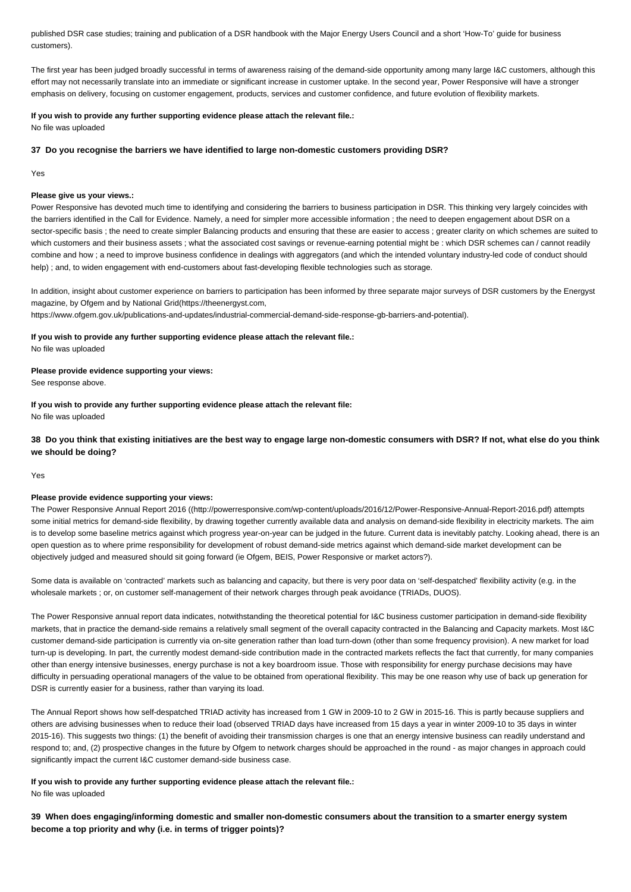published DSR case studies; training and publication of a DSR handbook with the Major Energy Users Council and a short 'How-To' guide for business customers).

The first year has been judged broadly successful in terms of awareness raising of the demand-side opportunity among many large I&C customers, although this effort may not necessarily translate into an immediate or significant increase in customer uptake. In the second year, Power Responsive will have a stronger emphasis on delivery, focusing on customer engagement, products, services and customer confidence, and future evolution of flexibility markets.

# **If you wish to provide any further supporting evidence please attach the relevant file.:**

No file was uploaded

### **37 Do you recognise the barriers we have identified to large non-domestic customers providing DSR?**

Yes

# **Please give us your views.:**

Power Responsive has devoted much time to identifying and considering the barriers to business participation in DSR. This thinking very largely coincides with the barriers identified in the Call for Evidence. Namely, a need for simpler more accessible information ; the need to deepen engagement about DSR on a sector-specific basis ; the need to create simpler Balancing products and ensuring that these are easier to access ; greater clarity on which schemes are suited to which customers and their business assets ; what the associated cost savings or revenue-earning potential might be : which DSR schemes can / cannot readily combine and how ; a need to improve business confidence in dealings with aggregators (and which the intended voluntary industry-led code of conduct should help) ; and, to widen engagement with end-customers about fast-developing flexible technologies such as storage.

In addition, insight about customer experience on barriers to participation has been informed by three separate major surveys of DSR customers by the Energyst magazine, by Ofgem and by National Grid(https://theenergyst.com,

https://www.ofgem.gov.uk/publications-and-updates/industrial-commercial-demand-side-response-gb-barriers-and-potential).

### **If you wish to provide any further supporting evidence please attach the relevant file.:**

No file was uploaded

### **Please provide evidence supporting your views:**

See response above.

**If you wish to provide any further supporting evidence please attach the relevant file:** No file was uploaded

**38 Do you think that existing initiatives are the best way to engage large non-domestic consumers with DSR? If not, what else do you think we should be doing?**

Yes

#### **Please provide evidence supporting your views:**

The Power Responsive Annual Report 2016 ((http://powerresponsive.com/wp-content/uploads/2016/12/Power-Responsive-Annual-Report-2016.pdf) attempts some initial metrics for demand-side flexibility, by drawing together currently available data and analysis on demand-side flexibility in electricity markets. The aim is to develop some baseline metrics against which progress year-on-year can be judged in the future. Current data is inevitably patchy. Looking ahead, there is an open question as to where prime responsibility for development of robust demand-side metrics against which demand-side market development can be objectively judged and measured should sit going forward (ie Ofgem, BEIS, Power Responsive or market actors?).

Some data is available on 'contracted' markets such as balancing and capacity, but there is very poor data on 'self-despatched' flexibility activity (e.g. in the wholesale markets ; or, on customer self-management of their network charges through peak avoidance (TRIADs, DUOS).

The Power Responsive annual report data indicates, notwithstanding the theoretical potential for I&C business customer participation in demand-side flexibility markets, that in practice the demand-side remains a relatively small segment of the overall capacity contracted in the Balancing and Capacity markets. Most I&C customer demand-side participation is currently via on-site generation rather than load turn-down (other than some frequency provision). A new market for load turn-up is developing. In part, the currently modest demand-side contribution made in the contracted markets reflects the fact that currently, for many companies other than energy intensive businesses, energy purchase is not a key boardroom issue. Those with responsibility for energy purchase decisions may have difficulty in persuading operational managers of the value to be obtained from operational flexibility. This may be one reason why use of back up generation for DSR is currently easier for a business, rather than varying its load.

The Annual Report shows how self-despatched TRIAD activity has increased from 1 GW in 2009-10 to 2 GW in 2015-16. This is partly because suppliers and others are advising businesses when to reduce their load (observed TRIAD days have increased from 15 days a year in winter 2009-10 to 35 days in winter 2015-16). This suggests two things: (1) the benefit of avoiding their transmission charges is one that an energy intensive business can readily understand and respond to; and, (2) prospective changes in the future by Ofgem to network charges should be approached in the round - as major changes in approach could significantly impact the current I&C customer demand-side business case.

**If you wish to provide any further supporting evidence please attach the relevant file.:** No file was uploaded

**39 When does engaging/informing domestic and smaller non-domestic consumers about the transition to a smarter energy system become a top priority and why (i.e. in terms of trigger points)?**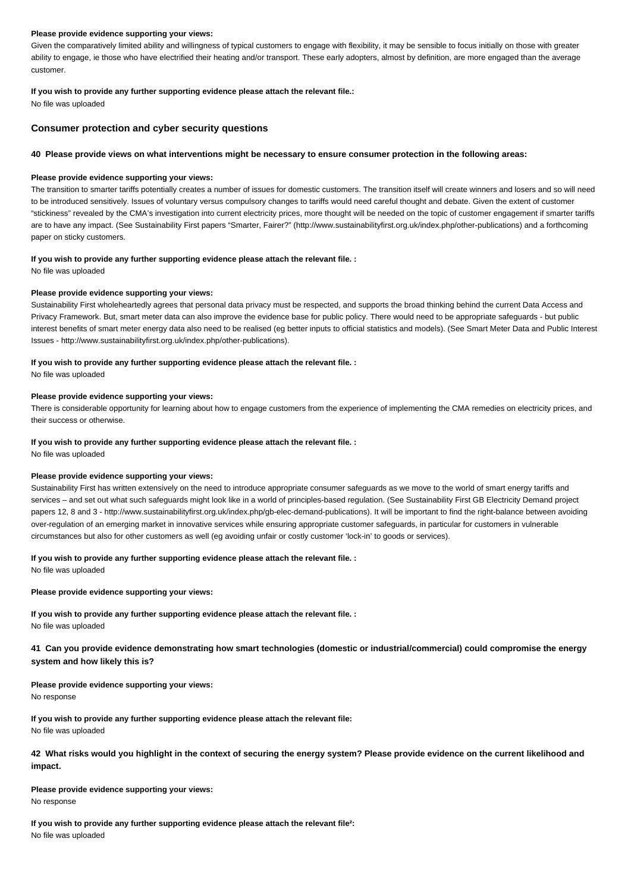Given the comparatively limited ability and willingness of typical customers to engage with flexibility, it may be sensible to focus initially on those with greater ability to engage, ie those who have electrified their heating and/or transport. These early adopters, almost by definition, are more engaged than the average customer.

### **If you wish to provide any further supporting evidence please attach the relevant file.:**

No file was uploaded

# **Consumer protection and cyber security questions**

### **40 Please provide views on what interventions might be necessary to ensure consumer protection in the following areas:**

### **Please provide evidence supporting your views:**

The transition to smarter tariffs potentially creates a number of issues for domestic customers. The transition itself will create winners and losers and so will need to be introduced sensitively. Issues of voluntary versus compulsory changes to tariffs would need careful thought and debate. Given the extent of customer "stickiness" revealed by the CMA's investigation into current electricity prices, more thought will be needed on the topic of customer engagement if smarter tariffs are to have any impact. (See Sustainability First papers "Smarter, Fairer?" (http://www.sustainabilityfirst.org.uk/index.php/other-publications) and a forthcoming paper on sticky customers.

# **If you wish to provide any further supporting evidence please attach the relevant file. :**

No file was uploaded

### **Please provide evidence supporting your views:**

Sustainability First wholeheartedly agrees that personal data privacy must be respected, and supports the broad thinking behind the current Data Access and Privacy Framework. But, smart meter data can also improve the evidence base for public policy. There would need to be appropriate safeguards - but public interest benefits of smart meter energy data also need to be realised (eg better inputs to official statistics and models). (See Smart Meter Data and Public Interest Issues - http://www.sustainabilityfirst.org.uk/index.php/other-publications).

### **If you wish to provide any further supporting evidence please attach the relevant file. :**

No file was uploaded

### **Please provide evidence supporting your views:**

There is considerable opportunity for learning about how to engage customers from the experience of implementing the CMA remedies on electricity prices, and their success or otherwise.

### **If you wish to provide any further supporting evidence please attach the relevant file. :**

No file was uploaded

### **Please provide evidence supporting your views:**

Sustainability First has written extensively on the need to introduce appropriate consumer safeguards as we move to the world of smart energy tariffs and services – and set out what such safeguards might look like in a world of principles-based regulation. (See Sustainability First GB Electricity Demand project papers 12, 8 and 3 - http://www.sustainabilityfirst.org.uk/index.php/gb-elec-demand-publications). It will be important to find the right-balance between avoiding over-regulation of an emerging market in innovative services while ensuring appropriate customer safeguards, in particular for customers in vulnerable circumstances but also for other customers as well (eg avoiding unfair or costly customer 'lock-in' to goods or services).

#### **If you wish to provide any further supporting evidence please attach the relevant file. :**

No file was uploaded

### **Please provide evidence supporting your views:**

**If you wish to provide any further supporting evidence please attach the relevant file. :** No file was uploaded

**41 Can you provide evidence demonstrating how smart technologies (domestic or industrial/commercial) could compromise the energy system and how likely this is?**

### **Please provide evidence supporting your views:**

No response

**If you wish to provide any further supporting evidence please attach the relevant file:** No file was uploaded

**42 What risks would you highlight in the context of securing the energy system? Please provide evidence on the current likelihood and impact.**

### **Please provide evidence supporting your views:** No response

**If you wish to provide any further supporting evidence please attach the relevant file²:** No file was uploaded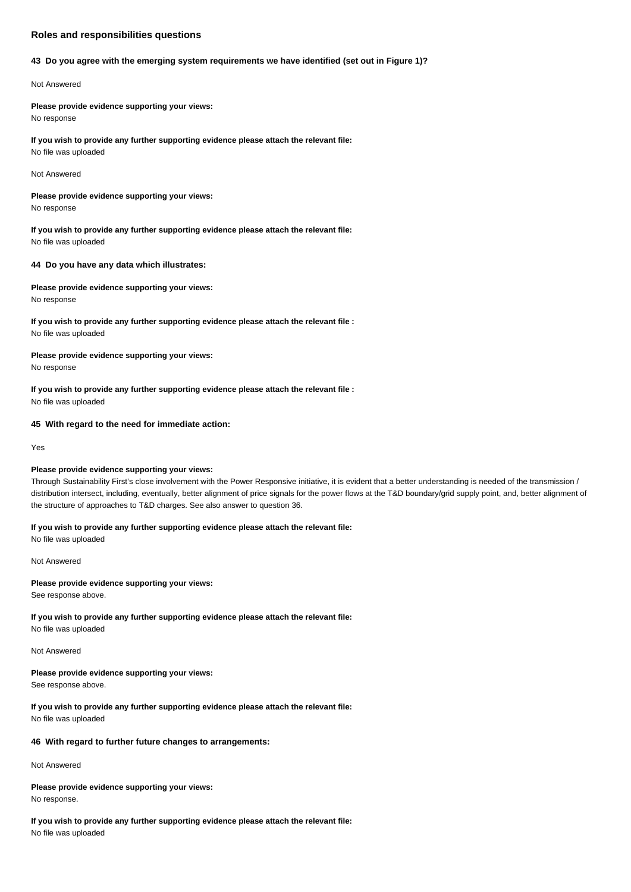# **Roles and responsibilities questions**

### **43 Do you agree with the emerging system requirements we have identified (set out in Figure 1)?**

### Not Answered

**Please provide evidence supporting your views:** No response

**If you wish to provide any further supporting evidence please attach the relevant file:** No file was uploaded

### Not Answered

**Please provide evidence supporting your views:** No response

**If you wish to provide any further supporting evidence please attach the relevant file:** No file was uploaded

### **44 Do you have any data which illustrates:**

# **Please provide evidence supporting your views:** No response

**If you wish to provide any further supporting evidence please attach the relevant file :** No file was uploaded

**Please provide evidence supporting your views:** No response

**If you wish to provide any further supporting evidence please attach the relevant file :** No file was uploaded

### **45 With regard to the need for immediate action:**

Yes

# **Please provide evidence supporting your views:**

Through Sustainability First's close involvement with the Power Responsive initiative, it is evident that a better understanding is needed of the transmission / distribution intersect, including, eventually, better alignment of price signals for the power flows at the T&D boundary/grid supply point, and, better alignment of the structure of approaches to T&D charges. See also answer to question 36.

### **If you wish to provide any further supporting evidence please attach the relevant file:**

No file was uploaded

Not Answered

### **Please provide evidence supporting your views:**

See response above.

# **If you wish to provide any further supporting evidence please attach the relevant file:** No file was uploaded

Not Answered

# **Please provide evidence supporting your views:**

See response above.

# **If you wish to provide any further supporting evidence please attach the relevant file:** No file was uploaded

### **46 With regard to further future changes to arrangements:**

Not Answered

### **Please provide evidence supporting your views:** No response.

**If you wish to provide any further supporting evidence please attach the relevant file:** No file was uploaded